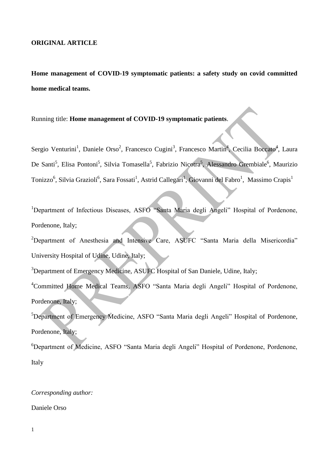## **ORIGINAL ARTICLE**

**Home management of COVID-19 symptomatic patients: a safety study on covid committed home medical teams.**

Running title: **Home management of COVID-19 symptomatic patients**.

Sergio Venturini<sup>1</sup>, Daniele Orso<sup>2</sup>, Francesco Cugini<sup>3</sup>, Francesco Martin<sup>4</sup>, Cecilia Boccato<sup>4</sup>, Laura De Santi<sup>5</sup>, Elisa Pontoni<sup>5</sup>, Silvia Tomasella<sup>5</sup>, Fabrizio Nicotra<sup>5</sup>, Alessandro Grembiale<sup>6</sup>, Maurizio Tonizzo<sup>6</sup>, Silvia Grazioli<sup>6</sup>, Sara Fossati<sup>1</sup>, Astrid Callegari<sup>1</sup>, Giovanni del Fabro<sup>1</sup>, Massimo Crapis<sup>1</sup>

<sup>1</sup>Department of Infectious Diseases, ASFO "Santa Maria degli Angeli" Hospital of Pordenone, Pordenone, Italy;

<sup>2</sup>Department of Anesthesia and Intensive Care, ASUFC "Santa Maria della Misericordia" University Hospital of Udine, Udine, Italy;

<sup>3</sup>Department of Emergency Medicine, ASUFC Hospital of San Daniele, Udine, Italy;

<sup>4</sup>Committed Home Medical Teams*,* ASFO "Santa Maria degli Angeli" Hospital of Pordenone, Pordenone, Italy;

<sup>5</sup>Department of Emergency Medicine, ASFO "Santa Maria degli Angeli" Hospital of Pordenone, Pordenone, Italy;

<sup>6</sup>Department of Medicine, ASFO "Santa Maria degli Angeli" Hospital of Pordenone, Pordenone, Italy

# *Corresponding author:*

Daniele Orso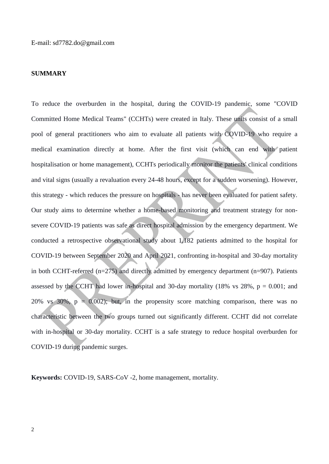#### **SUMMARY**

To reduce the overburden in the hospital, during the COVID-19 pandemic, some "COVID Committed Home Medical Teams" (CCHTs) were created in Italy. These units consist of a small pool of general practitioners who aim to evaluate all patients with COVID-19 who require a medical examination directly at home. After the first visit (which can end with patient hospitalisation or home management), CCHTs periodically monitor the patients' clinical conditions and vital signs (usually a revaluation every 24-48 hours, except for a sudden worsening). However, this strategy - which reduces the pressure on hospitals - has never been evaluated for patient safety. Our study aims to determine whether a home-based monitoring and treatment strategy for nonsevere COVID-19 patients was safe as direct hospital admission by the emergency department. We conducted a retrospective observational study about 1,182 patients admitted to the hospital for COVID-19 between September 2020 and April 2021, confronting in-hospital and 30-day mortality in both CCHT-referred (n=275) and directly admitted by emergency department (n=907). Patients assessed by the CCHT had lower in-hospital and 30-day mortality (18% vs  $28\%$ ,  $p = 0.001$ ; and 20% vs 30%,  $p = 0.002$ ; but, in the propensity score matching comparison, there was no characteristic between the two groups turned out significantly different. CCHT did not correlate with in-hospital or 30-day mortality. CCHT is a safe strategy to reduce hospital overburden for COVID-19 during pandemic surges.

**Keywords:** COVID-19, SARS-CoV -2, home management, mortality.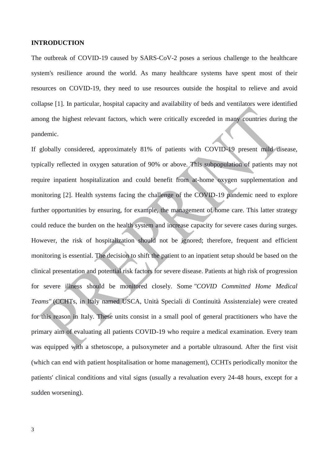#### **INTRODUCTION**

The outbreak of COVID-19 caused by SARS-CoV-2 poses a serious challenge to the healthcare system's resilience around the world. As many healthcare systems have spent most of their resources on COVID-19, they need to use resources outside the hospital to relieve and avoid collapse [1]. In particular, hospital capacity and availability of beds and ventilators were identified among the highest relevant factors, which were critically exceeded in many countries during the pandemic.

If globally considered, approximately 81% of patients with COVID-19 present mild disease, typically reflected in oxygen saturation of 90% or above. This subpopulation of patients may not require inpatient hospitalization and could benefit from at-home oxygen supplementation and monitoring [2]. Health systems facing the challenge of the COVID-19 pandemic need to explore further opportunities by ensuring, for example, the management of home care. This latter strategy could reduce the burden on the health system and increase capacity for severe cases during surges. However, the risk of hospitalization should not be ignored; therefore, frequent and efficient monitoring is essential. The decision to shift the patient to an inpatient setup should be based on the clinical presentation and potential risk factors for severe disease. Patients at high risk of progression for severe illness should be monitored closely. Some *"COVID Committed Home Medical Teams"* (CCHTs, in Italy named USCA, Unità Speciali di Continuità Assistenziale) were created for this reason in Italy. These units consist in a small pool of general practitioners who have the primary aim of evaluating all patients COVID-19 who require a medical examination. Every team was equipped with a sthetoscope, a pulsoxymeter and a portable ultrasound. After the first visit (which can end with patient hospitalisation or home management), CCHTs periodically monitor the patients' clinical conditions and vital signs (usually a revaluation every 24-48 hours, except for a sudden worsening).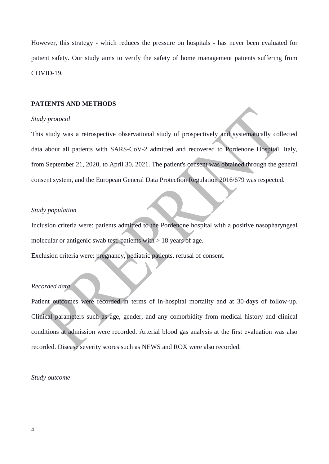However, this strategy - which reduces the pressure on hospitals - has never been evaluated for patient safety. Our study aims to verify the safety of home management patients suffering from COVID-19.

#### **PATIENTS AND METHODS**

## *Study protocol*

This study was a retrospective observational study of prospectively and systematically collected data about all patients with SARS-CoV-2 admitted and recovered to Pordenone Hospital, Italy, from September 21, 2020, to April 30, 2021. The patient's consent was obtained through the general consent system, and the European General Data Protection Regulation 2016/679 was respected.

# *Study population*

Inclusion criteria were: patients admitted to the Pordenone hospital with a positive nasopharyngeal molecular or antigenic swab test, patients with  $> 18$  years of age.

Exclusion criteria were: pregnancy, pediatric patients, refusal of consent.

# *Recorded data*

Patient outcomes were recorded in terms of in-hospital mortality and at 30-days of follow-up. Clinical parameters such as age, gender, and any comorbidity from medical history and clinical conditions at admission were recorded. Arterial blood gas analysis at the first evaluation was also recorded. Disease severity scores such as NEWS and ROX were also recorded.

## *Study outcome*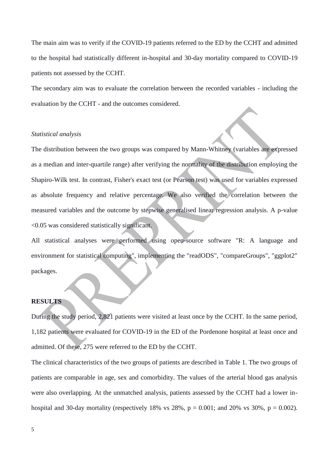The main aim was to verify if the COVID-19 patients referred to the ED by the CCHT and admitted to the hospital had statistically different in-hospital and 30-day mortality compared to COVID-19 patients not assessed by the CCHT.

The secondary aim was to evaluate the correlation between the recorded variables - including the evaluation by the CCHT - and the outcomes considered.

#### *Statistical analysis*

The distribution between the two groups was compared by Mann-Whitney (variables are expressed as a median and inter-quartile range) after verifying the normality of the distribution employing the Shapiro-Wilk test. In contrast, Fisher's exact test (or Pearson test) was used for variables expressed as absolute frequency and relative percentage. We also verified the correlation between the measured variables and the outcome by stepwise generalised linear regression analysis. A p-value <0.05 was considered statistically significant.

All statistical analyses were performed using open-source software "R: A language and environment for statistical computing", implementing the "readODS", "compareGroups", "ggplot2" packages.

# **RESULTS**

During the study period, 2,821 patients were visited at least once by the CCHT. In the same period, 1,182 patients were evaluated for COVID-19 in the ED of the Pordenone hospital at least once and admitted. Of these, 275 were referred to the ED by the CCHT.

The clinical characteristics of the two groups of patients are described in Table 1. The two groups of patients are comparable in age, sex and comorbidity. The values of the arterial blood gas analysis were also overlapping. At the unmatched analysis, patients assessed by the CCHT had a lower inhospital and 30-day mortality (respectively 18% vs  $28\%$ ,  $p = 0.001$ ; and  $20\%$  vs  $30\%$ ,  $p = 0.002$ ).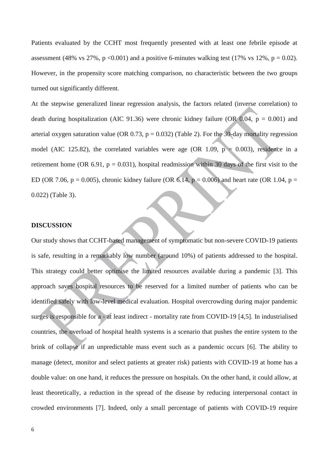Patients evaluated by the CCHT most frequently presented with at least one febrile episode at assessment (48% vs 27%, p <0.001) and a positive 6-minutes walking test (17% vs 12%, p = 0.02). However, in the propensity score matching comparison, no characteristic between the two groups turned out significantly different.

At the stepwise generalized linear regression analysis, the factors related (inverse correlation) to death during hospitalization (AIC 91.36) were chronic kidney failure (OR 0.04,  $p = 0.001$ ) and arterial oxygen saturation value (OR 0.73,  $p = 0.032$ ) (Table 2). For the 30-day mortality regression model (AIC 125.82), the correlated variables were age (OR 1.09,  $p = 0.003$ ), residence in a retirement home (OR 6.91,  $p = 0.031$ ), hospital readmission within 30 days of the first visit to the ED (OR 7.06, p = 0.005), chronic kidney failure (OR 6.14, p = 0.006) and heart rate (OR 1.04, p = 0.022) (Table 3).

#### **DISCUSSION**

Our study shows that CCHT-based management of symptomatic but non-severe COVID-19 patients is safe, resulting in a remarkably low number (around 10%) of patients addressed to the hospital. This strategy could better optimise the limited resources available during a pandemic [3]. This approach saves hospital resources to be reserved for a limited number of patients who can be identified safely with low-level medical evaluation. Hospital overcrowding during major pandemic surges is responsible for a - at least indirect - mortality rate from COVID-19 [4,5]. In industrialised countries, the overload of hospital health systems is a scenario that pushes the entire system to the brink of collapse if an unpredictable mass event such as a pandemic occurs [6]. The ability to manage (detect, monitor and select patients at greater risk) patients with COVID-19 at home has a double value: on one hand, it reduces the pressure on hospitals. On the other hand, it could allow, at least theoretically, a reduction in the spread of the disease by reducing interpersonal contact in crowded environments [7]. Indeed, only a small percentage of patients with COVID-19 require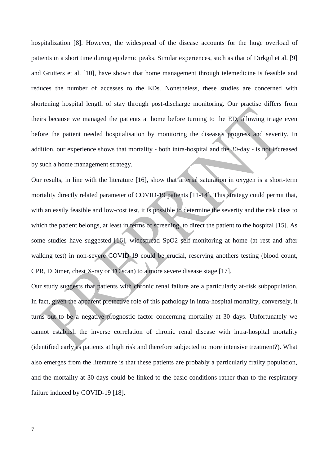hospitalization [8]. However, the widespread of the disease accounts for the huge overload of patients in a short time during epidemic peaks. Similar experiences, such as that of Dirkgil et al. [9] and Grutters et al. [10], have shown that home management through telemedicine is feasible and reduces the number of accesses to the EDs. Nonetheless, these studies are concerned with shortening hospital length of stay through post-discharge monitoring. Our practise differs from theirs because we managed the patients at home before turning to the ED, allowing triage even before the patient needed hospitalisation by monitoring the disease's progress and severity. In addition, our experience shows that mortality - both intra-hospital and the 30-day - is not increased by such a home management strategy.

Our results, in line with the literature [16], show that arterial saturation in oxygen is a short-term mortality directly related parameter of COVID-19 patients [11-14]. This strategy could permit that, with an easily feasible and low-cost test, it is possible to determine the severity and the risk class to which the patient belongs, at least in terms of screening, to direct the patient to the hospital [15]. As some studies have suggested [16], widespread SpO2 self-monitoring at home (at rest and after walking test) in non-severe COVID-19 could be crucial, reserving anothers testing (blood count, CPR, DDimer, chest X-ray or TC scan) to a more severe disease stage [17].

Our study suggests that patients with chronic renal failure are a particularly at-risk subpopulation. In fact, given the apparent protective role of this pathology in intra-hospital mortality, conversely, it turns out to be a negative prognostic factor concerning mortality at 30 days. Unfortunately we cannot establish the inverse correlation of chronic renal disease with intra-hospital mortality (identified early as patients at high risk and therefore subjected to more intensive treatment?). What also emerges from the literature is that these patients are probably a particularly frailty population, and the mortality at 30 days could be linked to the basic conditions rather than to the respiratory failure induced by COVID-19 [18].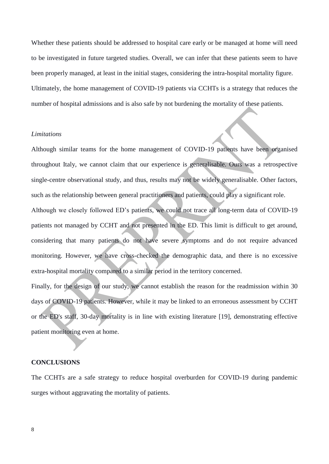Whether these patients should be addressed to hospital care early or be managed at home will need to be investigated in future targeted studies. Overall, we can infer that these patients seem to have been properly managed, at least in the initial stages, considering the intra-hospital mortality figure. Ultimately, the home management of COVID-19 patients via CCHTs is a strategy that reduces the number of hospital admissions and is also safe by not burdening the mortality of these patients.

#### *Limitations*

Although similar teams for the home management of COVID-19 patients have been organised throughout Italy, we cannot claim that our experience is generalisable. Ours was a retrospective single-centre observational study, and thus, results may not be widely generalisable. Other factors, such as the relationship between general practitioners and patients, could play a significant role.

Although we closely followed ED's patients, we could not trace all long-term data of COVID-19 patients not managed by CCHT and not presented in the ED. This limit is difficult to get around, considering that many patients do not have severe symptoms and do not require advanced monitoring. However, we have cross-checked the demographic data, and there is no excessive extra-hospital mortality compared to a similar period in the territory concerned.

Finally, for the design of our study, we cannot establish the reason for the readmission within 30 days of COVID-19 patients. However, while it may be linked to an erroneous assessment by CCHT or the ED's staff, 30-day mortality is in line with existing literature [19], demonstrating effective patient monitoring even at home.

## **CONCLUSIONS**

The CCHTs are a safe strategy to reduce hospital overburden for COVID-19 during pandemic surges without aggravating the mortality of patients.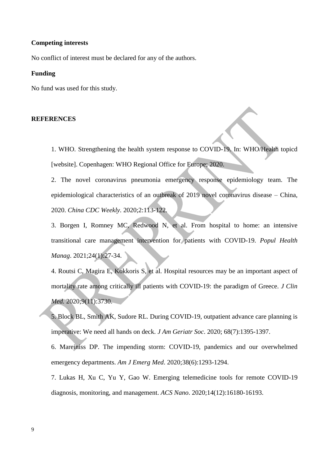## **Competing interests**

No conflict of interest must be declared for any of the authors.

#### **Funding**

No fund was used for this study.

#### **REFERENCES**

1. WHO. Strengthening the health system response to COVID-19. In: WHO/Health topicd [website]. Copenhagen: WHO Regional Office for Europe; 2020.

2. The novel coronavirus pneumonia emergency response epidemiology team. The epidemiological characteristics of an outbreak of 2019 novel coronavirus disease – China, 2020. *China CDC Weekly.* 2020;2:113-122.

3. Borgen I, Romney MC, Redwood N, et al. From hospital to home: an intensive transitional care management intervention for patients with COVID-19. *Popul Health Manag*. 2021;24(1):27-34.

4. Routsi C, Magira E, Kokkoris S, et al. Hospital resources may be an important aspect of mortality rate among critically ill patients with COVID-19: the paradigm of Greece. *J Clin Med.* 2020;9(11):3730.

5. Block BL, Smith AK, Sudore RL. During COVID-19, outpatient advance care planning is imperative: We need all hands on deck. *J Am Geriatr Soc*. 2020; 68(7):1395-1397.

6. Mareiniss DP. The impending storm: COVID-19, pandemics and our overwhelmed emergency departments. *Am J Emerg Med*. 2020;38(6):1293-1294.

7. Lukas H, Xu C, Yu Y, Gao W. Emerging telemedicine tools for remote COVID-19 diagnosis, monitoring, and management. *ACS Nano*. 2020;14(12):16180-16193.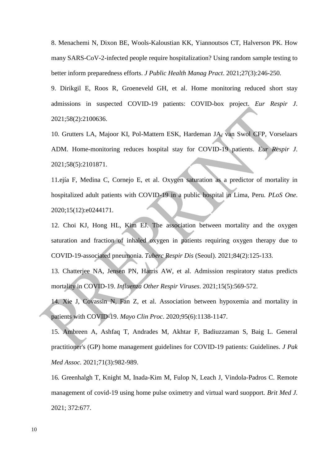8. Menachemi N, Dixon BE, Wools-Kaloustian KK, Yiannoutsos CT, Halverson PK. How many SARS-CoV-2-infected people require hospitalization? Using random sample testing to better inform preparedness efforts. *J Public Health Manag Pract*. 2021;27(3):246-250.

9. Dirikgil E, Roos R, Groeneveld GH, et al. Home monitoring reduced short stay admissions in suspected COVID-19 patients: COVID-box project. *Eur Respir J*. 2021;58(2):2100636.

10. Grutters LA, Majoor KI, Pol-Mattern ESK, Hardeman JA, van Swol CFP, Vorselaars ADM. Home-monitoring reduces hospital stay for COVID-19 patients. *Eur Respir J*. 2021;58(5):2101871.

11.ejía F, Medina C, Cornejo E, et al. Oxygen saturation as a predictor of mortality in hospitalized adult patients with COVID-19 in a public hospital in Lima, Peru. *PLoS One*. 2020;15(12):e0244171.

12. Choi KJ, Hong HL, Kim EJ. The association between mortality and the oxygen saturation and fraction of inhaled oxygen in patients requiring oxygen therapy due to COVID-19-associated pneumonia. *Tuberc Respir Dis* (Seoul). 2021;84(2):125-133.

13. Chatterjee NA, Jensen PN, Harris AW, et al. Admission respiratory status predicts mortality in COVID-19. *Influenza Other Respir Viruses*. 2021;15(5):569-572.

14. Xie J, Covassin N, Fan Z, et al. Association between hypoxemia and mortality in patients with COVID-19. *Mayo Clin Proc*. 2020;95(6):1138-1147.

15. Ambreen A, Ashfaq T, Andrades M, Akhtar F, Badiuzzaman S, Baig L. General practitioner's (GP) home management guidelines for COVID-19 patients: Guidelines. *J Pak Med Assoc.* 2021;71(3):982-989.

16. Greenhalgh T, Knight M, Inada-Kim M, Fulop N, Leach J, Vindola-Padros C. Remote management of covid-19 using home pulse oximetry and virtual ward suopport. *Brit Med J.* 2021; 372:677.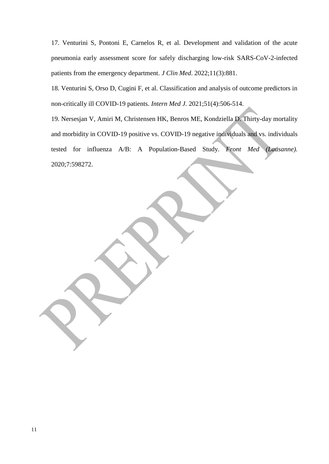17. Venturini S, Pontoni E, Carnelos R, et al. Development and validation of the acute pneumonia early assessment score for safely discharging low-risk SARS-CoV-2-infected patients from the emergency department. *J Clin Med*. 2022;11(3):881.

18. Venturini S, Orso D, Cugini F, et al. Classification and analysis of outcome predictors in non-critically ill COVID-19 patients. *Intern Med J.* 2021;51(4):506-514.

19. Nersesjan V, Amiri M, Christensen HK, Benros ME, Kondziella D. Thirty-day mortality and morbidity in COVID-19 positive vs. COVID-19 negative individuals and vs. individuals tested for influenza A/B: A Population-Based Study. *Front Med (Lausanne).* 2020;7:598272.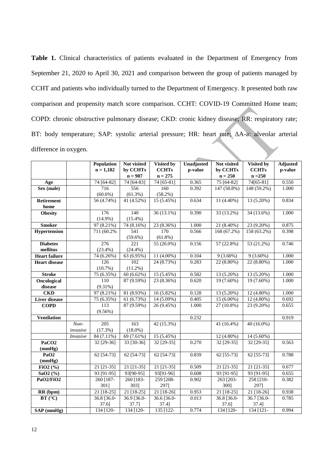**Table 1.** Clinical characteristics of patients evaluated in the Department of Emergency from September 21, 2020 to April 30, 2021 and comparison between the group of patients managed by CCHT and patients who individually turned to the Department of Emergency. It presented both raw comparison and propensity match score comparison. CCHT: COVID-19 Committed Home team; COPD: chronic obstructive pulmonary disease; CKD: cronic kidney disease; RR: respiratory rate; BT: body temperature; SAP: systolic arterial pressure; HR: heart rate; ΔA-a: alveolar arterial difference in oxygen.

|                      |                  | Population   | Not visited  | Visited by   | Unadjusted | Not visited  | Visited by    | Adjusted |
|----------------------|------------------|--------------|--------------|--------------|------------|--------------|---------------|----------|
|                      |                  | $n = 1,182$  | by CCHTs     | <b>CCHTs</b> | p-value    | by CCHTs     | <b>CCHTs</b>  | p-value  |
|                      |                  |              | $n = 907$    | $n = 275$    |            | $n = 250$    | $n = 250$     |          |
| Age                  |                  | 74 [64-82]   | 74 [64-83]   | 74 [65-81]   | 0.365      | 75 [64-82]   | $74[65-81]$   | 0.550    |
| Sex (male)           |                  | 716          | 556          | 160          | 0.392      | 147 (58.8%)  | 148 (59.2%)   | 1.000    |
|                      |                  | $(60.6\%)$   | (61.3%)      | (58.2%)      |            |              |               |          |
| <b>Retirement</b>    |                  | 56 (4.74%)   | 41 (4.52%)   | 15(5.45%)    | 0.634      | $11(4.40\%)$ | 13 (5.20%)    | 0.834    |
| home                 |                  |              |              |              |            |              |               |          |
| <b>Obesity</b>       |                  | 176          | 140          | 36 (13.1%)   | 0.390      | 33 (13.2%)   | 34 (13.6%)    | 1.000    |
|                      |                  | $(14.9\%)$   | $(15.4\%)$   |              |            |              |               |          |
| <b>Smoker</b>        |                  | 97 (8.21%)   | 74 (8.16%)   | 23 (8.36%)   | 1.000      | 21 (8.40%)   | 23 (9.20%)    | 0.875    |
| Hypertension         |                  | 711 (60.2%)  | 541          | 170          | 0.566      | 168(67.2%)   | $158(63.2\%)$ | 0.398    |
|                      |                  |              | $(59.6\%)$   | $(61.8\%)$   |            |              |               |          |
| <b>Diabetes</b>      |                  | 276          | 221          | 55 (20.0%)   | 0.156      | 57(22.8%)    | 53(21.2%)     | 0.746    |
| mellitus             |                  | $(23.4\%)$   | $(24.4\%)$   |              |            |              |               |          |
| <b>Heart failure</b> |                  | 74 (6.26%)   | 63 (6.95%)   | 11 (4.00%)   | 0.104      | $9(3.60\%)$  | $9(3.60\%)$   | 1.000    |
| <b>Heart disease</b> |                  | 126          | 102          | 24 (8.73%)   | 0.283      | 22 (8.80%)   | $22(8.80\%)$  | 1.000    |
|                      |                  | (10.7%)      | $(11.2\%)$   |              |            |              |               |          |
| <b>Stroke</b>        |                  | 75 (6.35%)   | 60(6.62%)    | 15(5.45%)    | 0.582      | $13(5.20\%)$ | $13(5.20\%)$  | 1.000    |
| Oncological          |                  | 110          | 87 (9.59%)   | 23 (8.36%)   | 0.620      | 19 (7.60%)   | 19 (7.60%)    | 1.000    |
| disease              |                  | $(9.31\%)$   |              |              |            |              |               |          |
| <b>CKD</b>           |                  | 97 (8.21%)   | 81(8.93%)    | 16(5.82%)    | 0.128      | 13(5.20%)    | $12(4.80\%)$  | 1.000    |
| <b>Liver disease</b> |                  | 75 (6.35%)   | 61(6.73%)    | $14(5.09\%)$ | 0.405      | $15(6.00\%)$ | 12 (4.80%)    | 0.692    |
| <b>COPD</b>          |                  | 113          | 87 (9.59%)   | 26 (9.45%)   | 1.000      | 27 (10.8%)   | 23 (9.20%)    | 0.655    |
|                      |                  | $(9.56\%)$   |              |              |            |              |               |          |
| <b>Ventilation</b>   |                  |              |              |              | 0.232      |              |               | 0.919    |
|                      | $\overline{Non}$ | 205          | 163          | 42 (15.3%)   |            | 41 (16.4%)   | $40(16.0\%)$  |          |
|                      | invasive         | (17.3%)      | $(18.0\%)$   |              |            |              |               |          |
|                      | Invasive         | 84 (7.11%)   | 69 (7.61%)   | 15 (5.45%)   |            | 12 (4.80%)   | 14 (5.60%)    |          |
| PaCO <sub>2</sub>    |                  | 32 [29-36]   | 33 [30-36]   | 32 [29-35]   | 0.270      | 32 [29-35]   | 32 [29-35]    | 0.563    |
| (mmHg)               |                  |              |              |              |            |              |               |          |
| PaO <sub>2</sub>     |                  | $62$ [54-73] | $62$ [54-73] | $62$ [54-73] | 0.839      | $62$ [55-73] | 62 [55-73]    | 0.788    |
| (mmHg)               |                  |              |              |              |            |              |               |          |
| FiO2 $(\frac{9}{6})$ |                  | 21 [21-35]   | $21$ [21-35] | $21$ [21-35] | 0.509      | 21 [21-35]   | $21$ [21-35]  | 0.677    |
| SaO2 (%)             |                  | $93[91-95]$  | 93[90-95]    | 93[91-96]    | 0.608      | 93 [91-95]   | 93 [91-95]    | 0.655    |
| PaO2/FiO2            |                  | 260 [187-    | 260 [183-    | 259 [208-    | 0.902      | 263 [203-    | 258 [210-     | 0.382    |
|                      |                  | 301]         | 303]         | 297]         |            | 300]         | 297]          |          |
| RR (bpm)             |                  | 21 [18-25]   | 21 [18-25]   | 21 [18-26]   | 0.953      | 21 [18-25]   | 21 [18-26]    | 0.938    |
| BT (°C)              |                  | 36.8 [36.0-  | 36.9 [36.0-  | 36.6 [36.0-  | 0.013      | 36.8 [36.0-  | 36.7 [36.0-   | 0.785    |
|                      |                  | 37.6]        | 37.7]        | 37.4]        |            | 37.6]        | 37.4]         |          |
| SAP (mmHg)           |                  | 134 [120-    | 134 [120-    | 135 [122-    | 0.774      | 134 [120-    | 134 [121-     | 0.994    |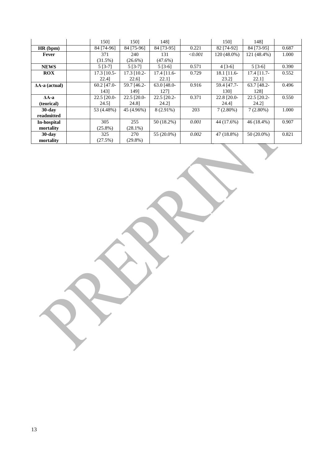|                        | 1501          | 1501          | 1481          |         | 1501          | 1481          |       |
|------------------------|---------------|---------------|---------------|---------|---------------|---------------|-------|
| HR(bpm)                | 84 [74-96]    | 84 [75-96]    | 84 [73-95]    | 0.221   | 82 [74-92]    | 84 [73-95]    | 0.687 |
| Fever                  | 371           | 240           | 131           | < 0.001 | 120 (48.0%)   | 121 (48.4%)   | 1.000 |
|                        | (31.5%)       | $(26.6\%)$    | $(47.6\%)$    |         |               |               |       |
| <b>NEWS</b>            | $5 [3-7]$     | $5[3-7]$      | $5[3-6]$      | 0.571   | $4 [3-6]$     | $5[3-6]$      | 0.390 |
| ROX                    | $17.3$ [10.5- | 17.3 [10.2-   | $17.4$ [11.6- | 0.729   | $18.1$ [11.6- | $17.4$ [11.7- | 0.552 |
|                        | 22.41         | 22.6          | 22.11         |         | 23.21         | 22.1]         |       |
| $\Delta A$ -a (actual) | $60.2$ [47.0- | 59.7 [46.2-   | 63.0 $[48.0-$ | 0.916   | 59.4 [47.7-   | $63.7$ [48.2- | 0.496 |
|                        | 1431          | 1491          | 1271          |         | 1301          | 1281          |       |
| $\Delta A - a$         | 22.5 [20.0-   | $22.5$ [20.0- | $22.5$ [20.2- | 0.371   | 22.8 [20.0-   | $22.5$ [20.2- | 0.550 |
| (teorical)             | 24.51         | 24.81         | 24.21         |         | 24.41         | 24.21         |       |
| $30$ -day              | 53 (4.48%)    | 45 (4.96%)    | $8(2.91\%)$   | 203     | $7(2.80\%)$   | $7(2.80\%)$   | 1.000 |
| readmitted             |               |               |               |         |               |               |       |
| In-hospital            | 305           | 255           | 50 (18.2%)    | 0.001   | 44 (17.6%)    | 46 (18.4%)    | 0.907 |
| mortality              | $(25.8\%)$    | $(28.1\%)$    |               |         |               |               |       |
| $30$ -day              | 325           | 270           | 55 (20.0%)    | 0.002   | 47 (18.8%)    | $50(20.0\%)$  | 0.821 |
| mortality              | (27.5%)       | $(29.8\%)$    |               |         |               |               |       |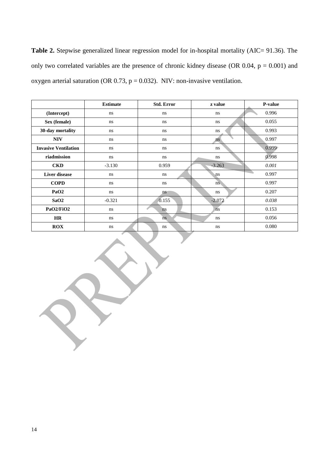Table 2. Stepwise generalized linear regression model for in-hospital mortality (AIC= 91.36). The only two correlated variables are the presence of chronic kidney disease (OR  $0.04$ ,  $p = 0.001$ ) and oxygen arterial saturation (OR 0.73,  $p = 0.032$ ). NIV: non-invasive ventilation.

|                             | <b>Estimate</b> | <b>Std. Error</b>      | z value  | P-value |
|-----------------------------|-----------------|------------------------|----------|---------|
| (Intercept)                 | ns              | ns                     | ns       | 0.996   |
| Sex (female)                | ns              | ns                     | ns.      | 0.055   |
| 30-day mortality            | ns              | ns.                    | ns       | 0.993   |
| <b>NIV</b>                  | ns              | ns                     | ns       | 0.997   |
| <b>Invasive Ventilation</b> | ns              | ns                     | ns       | 0.999   |
| riadmission                 | ns              | ns.                    | ns       | 0.998   |
| <b>CKD</b>                  | $-3.130$        | 0.959                  | $-3.263$ | 0.001   |
| Liver disease               | ns              | ns                     | ns       | 0.997   |
| <b>COPD</b>                 | ns              | ns                     | ns.      | 0.997   |
| PaO <sub>2</sub>            | ns              | ns                     | ns       | 0.207   |
| SaO2                        | $-0.321$        | 0.155                  | $-2.072$ | 0.038   |
| PaO2/FiO2                   | ns              | n <sub>s</sub>         | ns       | 0.153   |
| <b>HR</b>                   | ns              | $\overline{\text{ns}}$ | ns       | 0.056   |
| ROX                         | ns              | ns                     | ns       | 0.080   |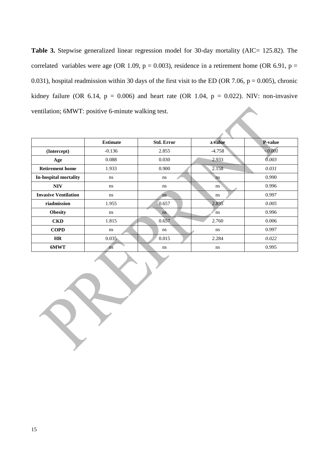Table 3. Stepwise generalized linear regression model for 30-day mortality (AIC= 125.82). The correlated variables were age (OR 1.09,  $p = 0.003$ ), residence in a retirement home (OR 6.91,  $p =$ 0.031), hospital readmission within 30 days of the first visit to the ED (OR 7.06,  $p = 0.005$ ), chronic kidney failure (OR 6.14,  $p = 0.006$ ) and heart rate (OR 1.04,  $p = 0.022$ ). NIV: non-invasive ventilation; 6MWT: positive 6-minute walking test.

|                             | <b>Estimate</b>        | <b>Std. Error</b> | z value  | <b>P-value</b> |  |  |  |
|-----------------------------|------------------------|-------------------|----------|----------------|--|--|--|
| (Intercept)                 | $-0.136$               | 2.855             | $-4.758$ | ${<}0.001$     |  |  |  |
| Age                         | 0.088                  | 0.030             | 2.933    | 0.003          |  |  |  |
| <b>Retirement home</b>      | 1.933                  | 0.900             | 2.158    | 0.031          |  |  |  |
| In-hospital mortality       | ns                     | ns                | ns       | 0.990          |  |  |  |
| <b>NIV</b>                  | ns                     | ns                | ns       | 0.996          |  |  |  |
| <b>Invasive Ventilation</b> | ns                     | ns.               | ns       | 0.997          |  |  |  |
| riadmission                 | 1.955                  | 0.657             | 2.835    | 0.005          |  |  |  |
| <b>Obesity</b>              | ns                     | ns.               | ns       | 0.996          |  |  |  |
| <b>CKD</b>                  | 1.815                  | 0.657             | 2.760    | 0.006          |  |  |  |
| <b>COPD</b>                 | ns                     | ns                | ns       | 0.997          |  |  |  |
| <b>HR</b>                   | 0.035                  | 0.015             | 2.284    | 0.022          |  |  |  |
| 6MWT                        | $\overline{\text{ns}}$ | ns                | ns       | 0.995          |  |  |  |